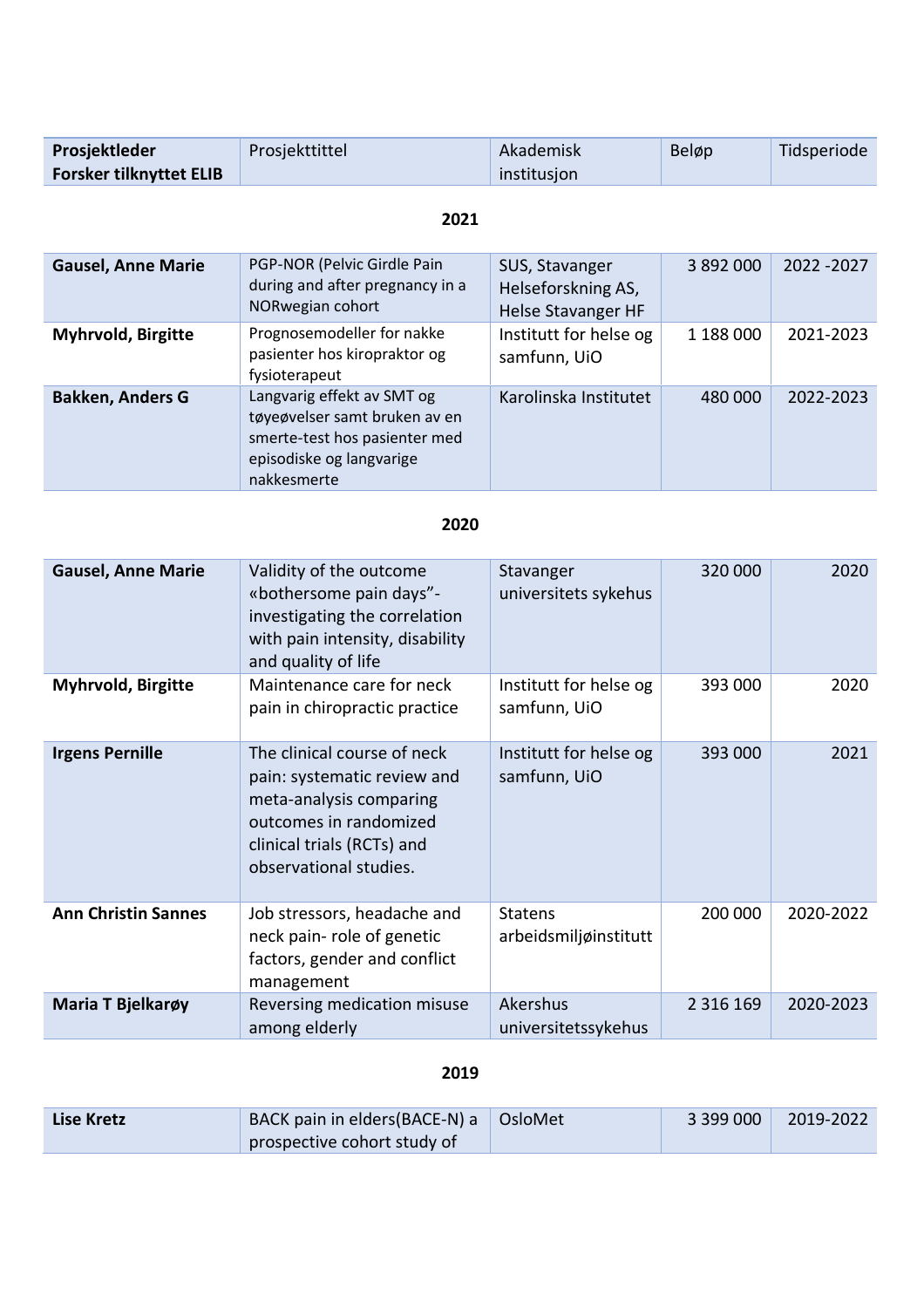| Prosjektleder                  | Prosjekttittel | Akademisk   | Beløp | Tidsperiode |
|--------------------------------|----------------|-------------|-------|-------------|
| <b>Forsker tilknyttet ELIB</b> |                | institusjon |       |             |

## **2021**

| <b>Gausel, Anne Marie</b> | PGP-NOR (Pelvic Girdle Pain<br>during and after pregnancy in a<br>NORwegian cohort                                                      | SUS, Stavanger<br>Helseforskning AS,<br><b>Helse Stavanger HF</b> | 3 892 000 | 2022 - 2027 |
|---------------------------|-----------------------------------------------------------------------------------------------------------------------------------------|-------------------------------------------------------------------|-----------|-------------|
| <b>Myhrvold, Birgitte</b> | Prognosemodeller for nakke<br>pasienter hos kiropraktor og<br>fysioterapeut                                                             | Institutt for helse og<br>samfunn, UiO                            | 1 188 000 | 2021-2023   |
| <b>Bakken, Anders G</b>   | Langvarig effekt av SMT og<br>tøyeøvelser samt bruken av en<br>smerte-test hos pasienter med<br>episodiske og langvarige<br>nakkesmerte | Karolinska Institutet                                             | 480 000   | 2022-2023   |

## **2020**

| <b>Gausel, Anne Marie</b>  | Validity of the outcome<br>«bothersome pain days"-<br>investigating the correlation<br>with pain intensity, disability<br>and quality of life                           | Stavanger<br>universitets sykehus       | 320 000       | 2020      |
|----------------------------|-------------------------------------------------------------------------------------------------------------------------------------------------------------------------|-----------------------------------------|---------------|-----------|
| Myhrvold, Birgitte         | Maintenance care for neck<br>pain in chiropractic practice                                                                                                              | Institutt for helse og<br>samfunn, UiO  | 393 000       | 2020      |
| <b>Irgens Pernille</b>     | The clinical course of neck<br>pain: systematic review and<br>meta-analysis comparing<br>outcomes in randomized<br>clinical trials (RCTs) and<br>observational studies. | Institutt for helse og<br>samfunn, UiO  | 393 000       | 2021      |
| <b>Ann Christin Sannes</b> | Job stressors, headache and<br>neck pain- role of genetic<br>factors, gender and conflict<br>management                                                                 | <b>Statens</b><br>arbeidsmiljøinstitutt | 200 000       | 2020-2022 |
| Maria T Bjelkarøy          | Reversing medication misuse<br>among elderly                                                                                                                            | Akershus<br>universitetssykehus         | 2 3 1 6 1 6 9 | 2020-2023 |

## **2019**

| Lise Kretz | BACK pain in elders (BACE-N) a $\Box$ OsloMet | 3399000 | $\frac{1}{2019} - 2022$ |
|------------|-----------------------------------------------|---------|-------------------------|
|            | prospective cohort study of                   |         |                         |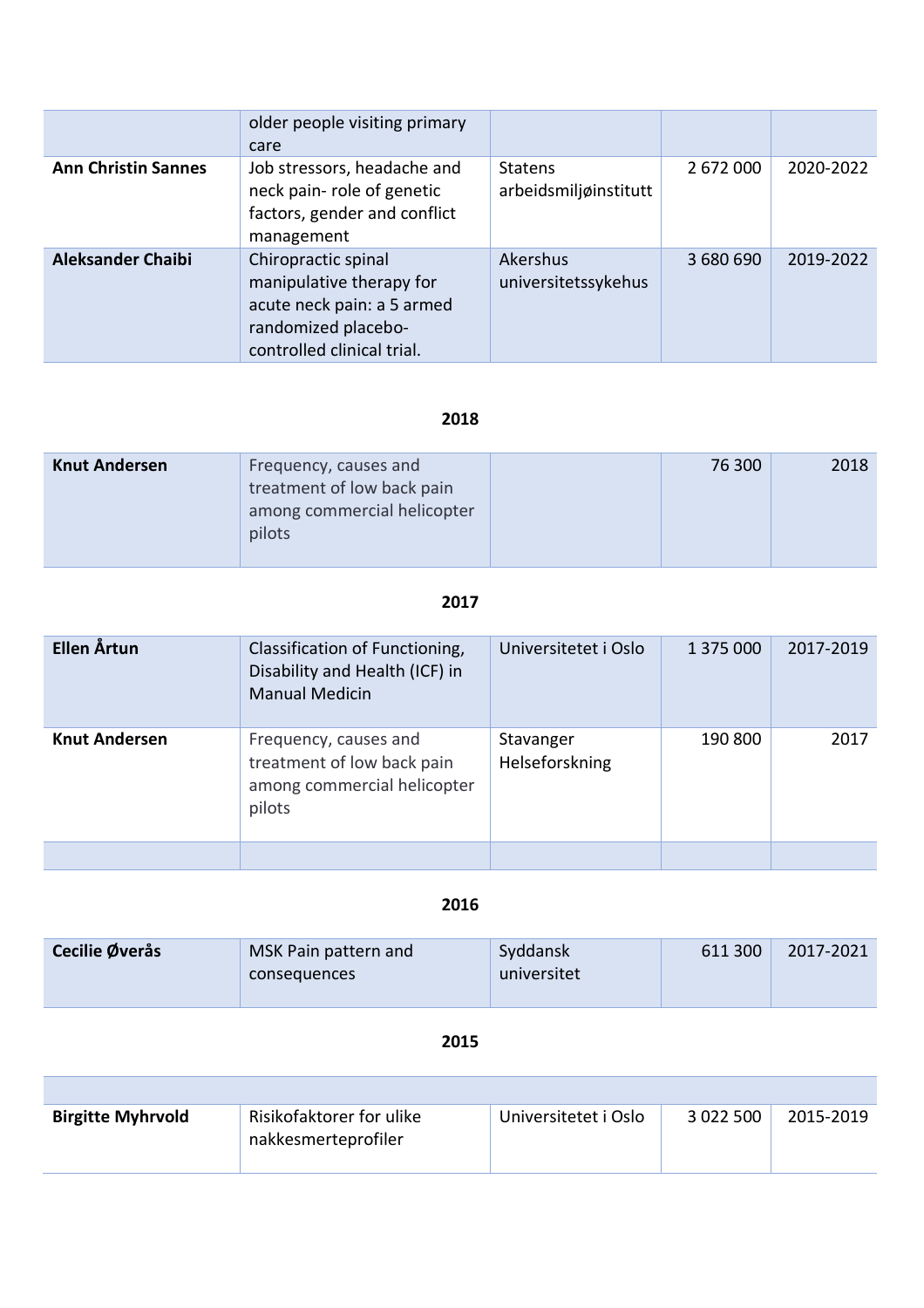|                            | older people visiting primary<br>care                                                                                              |                                         |           |           |
|----------------------------|------------------------------------------------------------------------------------------------------------------------------------|-----------------------------------------|-----------|-----------|
| <b>Ann Christin Sannes</b> | Job stressors, headache and<br>neck pain-role of genetic<br>factors, gender and conflict<br>management                             | <b>Statens</b><br>arbeidsmiljøinstitutt | 2 672 000 | 2020-2022 |
| <b>Aleksander Chaibi</b>   | Chiropractic spinal<br>manipulative therapy for<br>acute neck pain: a 5 armed<br>randomized placebo-<br>controlled clinical trial. | Akershus<br>universitetssykehus         | 3 680 690 | 2019-2022 |

## **2018**

| <b>Knut Andersen</b> | Frequency, causes and<br>treatment of low back pain<br>among commercial helicopter<br>pilots | 76 300 | 2018 |
|----------------------|----------------------------------------------------------------------------------------------|--------|------|
|                      |                                                                                              |        |      |

## **2017**

| Ellen Årtun          | Classification of Functioning,<br>Disability and Health (ICF) in<br><b>Manual Medicin</b>    | Universitetet i Oslo        | 1 375 000 | 2017-2019 |
|----------------------|----------------------------------------------------------------------------------------------|-----------------------------|-----------|-----------|
| <b>Knut Andersen</b> | Frequency, causes and<br>treatment of low back pain<br>among commercial helicopter<br>pilots | Stavanger<br>Helseforskning | 190 800   | 2017      |
|                      |                                                                                              |                             |           |           |

#### **2016**

| Cecilie Øverås | MSK Pain pattern and<br>consequences | Syddansk<br>universitet | 611 300 | 2017-2021 |
|----------------|--------------------------------------|-------------------------|---------|-----------|
|                |                                      |                         |         |           |

## **2015**

Г

| <b>Birgitte Myhrvold</b> | Risikofaktorer for ulike<br>nakkesmerteprofiler | Universitetet i Oslo | 3 0 2 2 5 0 0 | 2015-2019 |
|--------------------------|-------------------------------------------------|----------------------|---------------|-----------|
|                          |                                                 |                      |               |           |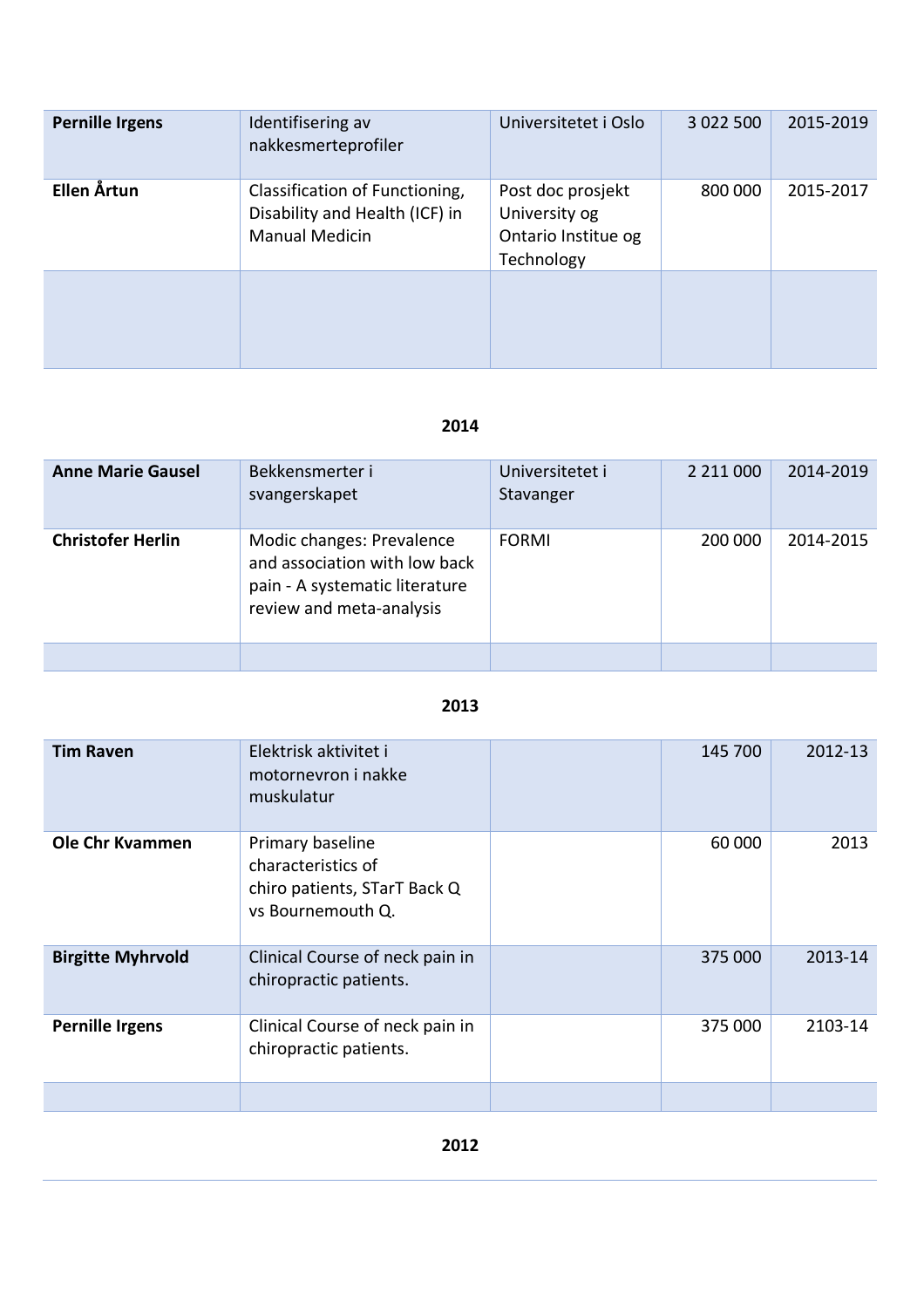| Pernille Irgens | Identifisering av<br>nakkesmerteprofiler                                                  | Universitetet i Oslo                                                    | 3 0 2 2 5 0 0 | 2015-2019 |
|-----------------|-------------------------------------------------------------------------------------------|-------------------------------------------------------------------------|---------------|-----------|
| Ellen Årtun     | Classification of Functioning,<br>Disability and Health (ICF) in<br><b>Manual Medicin</b> | Post doc prosjekt<br>University og<br>Ontario Institue og<br>Technology | 800 000       | 2015-2017 |
|                 |                                                                                           |                                                                         |               |           |

# **2014**

| <b>Anne Marie Gausel</b> | Bekkensmerter i<br>svangerskapet                                                                                         | Universitetet i<br>Stavanger |         | 2014-2019 |
|--------------------------|--------------------------------------------------------------------------------------------------------------------------|------------------------------|---------|-----------|
| <b>Christofer Herlin</b> | Modic changes: Prevalence<br>and association with low back<br>pain - A systematic literature<br>review and meta-analysis | <b>FORMI</b>                 | 200 000 | 2014-2015 |
|                          |                                                                                                                          |                              |         |           |

#### **2013**

| <b>Tim Raven</b>         | Elektrisk aktivitet i<br>motornevron i nakke<br>muskulatur                                  | 145 700 | 2012-13 |
|--------------------------|---------------------------------------------------------------------------------------------|---------|---------|
| <b>Ole Chr Kvammen</b>   | Primary baseline<br>characteristics of<br>chiro patients, STarT Back Q<br>vs Bournemouth Q. | 60 000  | 2013    |
| <b>Birgitte Myhrvold</b> | Clinical Course of neck pain in<br>chiropractic patients.                                   | 375 000 | 2013-14 |
| <b>Pernille Irgens</b>   | Clinical Course of neck pain in<br>chiropractic patients.                                   | 375 000 | 2103-14 |
|                          |                                                                                             |         |         |